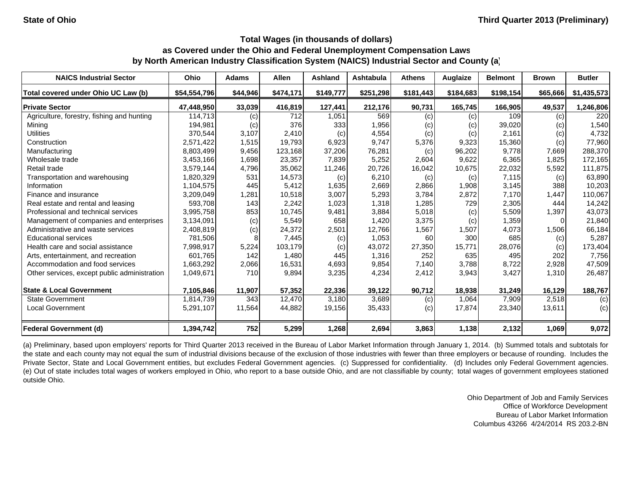| <b>NAICS Industrial Sector</b>               | Ohio         | <b>Adams</b> | <b>Allen</b> | <b>Ashland</b> | Ashtabula | <b>Athens</b> | Auglaize  | <b>Belmont</b> | <b>Brown</b> | <b>Butler</b> |
|----------------------------------------------|--------------|--------------|--------------|----------------|-----------|---------------|-----------|----------------|--------------|---------------|
| Total covered under Ohio UC Law (b)          | \$54,554,796 | \$44,946     | \$474,171    | \$149,777      | \$251,298 | \$181,443     | \$184,683 | \$198,154      | \$65,666     | \$1,435,573   |
| <b>Private Sector</b>                        | 47,448,950   | 33,039       | 416,819      | 127,441        | 212,176   | 90,731        | 165,745   | 166,905        | 49,537       | 1,246,806     |
| Agriculture, forestry, fishing and hunting   | 114,713      | (c)          | 712          | 1,051          | 569       | (c)           | (c)       | 109            | (c)          | 220           |
| Mining                                       | 194,981      | (c)          | 376          | 333            | 1,956     | (c)           | (c)       | 39,020         | (c)          | 1,540         |
| <b>Utilities</b>                             | 370,544      | 3,107        | 2,410        | (c)            | 4,554     | (c)           | (c)       | 2,161          | (c)          | 4,732         |
| Construction                                 | 2,571,422    | 1,515        | 19,793       | 6,923          | 9,747     | 5,376         | 9,323     | 15,360         | (c)          | 77,960        |
| Manufacturing                                | 8,803,499    | 9,456        | 123,168      | 37,206         | 76,281    | (c)           | 96,202    | 9,778          | 7,669        | 288,370       |
| Wholesale trade                              | 3,453,166    | 1,698        | 23,357       | 7,839          | 5,252     | 2,604         | 9,622     | 6,365          | 1,825        | 172,165       |
| Retail trade                                 | 3,579,144    | 4,796        | 35,062       | 11,246         | 20,726    | 16,042        | 10,675    | 22,032         | 5,592        | 111,875       |
| Transportation and warehousing               | 1,820,329    | 531          | 14,573       | (c)            | 6,210     | (c)           | (c)       | 7,115          | (c)          | 63,890        |
| Information                                  | 1,104,575    | 445          | 5,412        | 1,635          | 2,669     | 2,866         | 1,908     | 3,145          | 388          | 10,203        |
| Finance and insurance                        | 3,209,049    | 1,281        | 10,518       | 3,007          | 5,293     | 3,784         | 2,872     | 7,170          | 1,447        | 110,067       |
| Real estate and rental and leasing           | 593.708      | 143          | 2,242        | 1,023          | 1,318     | 1,285         | 729       | 2,305          | 444          | 14,242        |
| Professional and technical services          | 3,995,758    | 853          | 10,745       | 9,481          | 3,884     | 5,018         | (c)       | 5,509          | 1,397        | 43,073        |
| Management of companies and enterprises      | 3,134,091    | (c)          | 5,549        | 658            | 1,420     | 3,375         | (c)       | 1,359          |              | 21,840        |
| Administrative and waste services            | 2,408,819    | (c)          | 24,372       | 2,501          | 12,766    | 1,567         | 1,507     | 4,073          | 1,506        | 66,184        |
| <b>Educational services</b>                  | 781,506      |              | 7,445        | (c)            | 1,053     | 60            | 300       | 685            | (c)          | 5,287         |
| Health care and social assistance            | 7,998,917    | 5,224        | 103,179      | (c)            | 43,072    | 27,350        | 15,771    | 28,076         | (c)          | 173,404       |
| Arts, entertainment, and recreation          | 601.765      | 142          | 1,480        | 445            | 1,316     | 252           | 635       | 495            | 202          | 7,756         |
| Accommodation and food services              | 1,663,292    | 2,066        | 16,531       | 4,693          | 9,854     | 7,140         | 3.788     | 8,722          | 2,928        | 47,509        |
| Other services, except public administration | 1,049,671    | 710          | 9,894        | 3,235          | 4,234     | 2,412         | 3,943     | 3,427          | 1,310        | 26,487        |
| <b>State &amp; Local Government</b>          | 7,105,846    | 11,907       | 57,352       | 22,336         | 39,122    | 90,712        | 18,938    | 31,249         | 16,129       | 188,767       |
| <b>State Government</b>                      | 1,814,739    | 343          | 12,470       | 3,180          | 3,689     | (c)           | 1,064     | 7,909          | 2,518        | (c)           |
| <b>Local Government</b>                      | 5,291,107    | 11,564       | 44,882       | 19,156         | 35,433    | (c)           | 17,874    | 23,340         | 13,611       | (c)           |
| <b>Federal Government (d)</b>                | 1,394,742    | 752          | 5,299        | 1,268          | 2,694     | 3,863         | 1,138     | 2,132          | 1,069        | 9,072         |

(a) Preliminary, based upon employers' reports for Third Quarter 2013 received in the Bureau of Labor Market Information through January 1, 2014. (b) Summed totals and subtotals for the state and each county may not equal the sum of industrial divisions because of the exclusion of those industries with fewer than three employers or because of rounding. Includes the Private Sector, State and Local Government entities, but excludes Federal Government agencies. (c) Suppressed for confidentiality. (d) Includes only Federal Government agencies. (e) Out of state includes total wages of workers employed in Ohio, who report to <sup>a</sup> base outside Ohio, and are not classifiable by county; total wages of government employees stationed outside Ohio.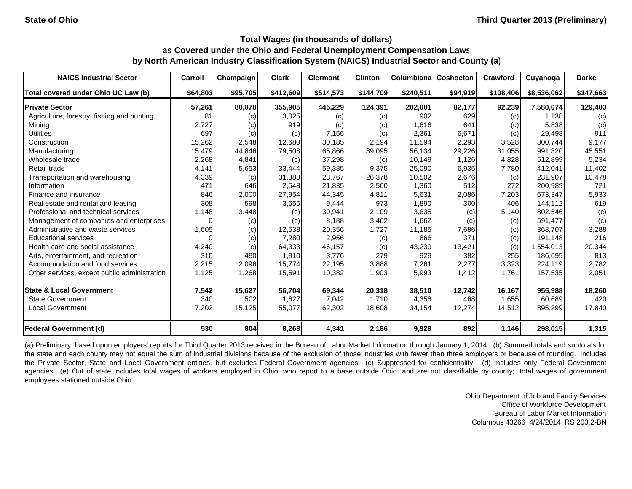| <b>NAICS Industrial Sector</b>               | Carroll  | Champaign | <b>Clark</b> | <b>Clermont</b> | <b>Clinton</b> | Columbiana | <b>Coshocton</b> | Crawford  | Cuyahoga    | <b>Darke</b> |
|----------------------------------------------|----------|-----------|--------------|-----------------|----------------|------------|------------------|-----------|-------------|--------------|
| Total covered under Ohio UC Law (b)          | \$64,803 | \$95,705  | \$412,609    | \$514,573       | \$144,709      | \$240,511  | \$94,919         | \$108,406 | \$8,536,062 | \$147,663    |
| <b>Private Sector</b>                        | 57,261   | 80,078    | 355,905      | 445,229         | 124,391        | 202,001    | 82,177           | 92,239    | 7,580,074   | 129,403      |
| Agriculture, forestry, fishing and hunting   | 81       | (c)       | 3,025        | (c)             | (c)            | 902        | 629              | (c)       | 1.138       | (c)          |
| Mining                                       | 2,727    | (c)       | 919          | (c)             | (c)            | 1,616      | 641              | (c)       | 5.838       | (c)          |
| <b>Utilities</b>                             | 697      | (c)       | (c)          | 7,156           | (c)            | 2,361      | 6,671            | (c)       | 29,498      | 911          |
| Construction                                 | 15,262   | 2,548     | 12,680       | 30.185          | 2.194          | 11,594     | 2,293            | 3,528     | 300.744     | 9,177        |
| Manufacturing                                | 15,479   | 44,846    | 79,508       | 65,866          | 39,095         | 56,134     | 29,226           | 31,055    | 991,320     | 45,551       |
| Wholesale trade                              | 2,268    | 4,841     | (c)          | 37,298          | (c)            | 10,149     | 1,126            | 4,828     | 512,899     | 5,234        |
| Retail trade                                 | 4,141    | 5,653     | 33,444       | 59,385          | 9,375          | 25,090     | 6,935            | 7,780     | 412,041     | 11,402       |
| Transportation and warehousing               | 4,339    | (c)       | 31,388       | 23,767          | 26,378         | 10,502     | 2,676            | (c)       | 231,907     | 10,478       |
| Information                                  | 471      | 646       | 2,548        | 21,835          | 2,560          | 1,360      | 512              | 272       | 200,989     | 721          |
| Finance and insurance                        | 846      | 2,000     | 27,954       | 44,345          | 4,811          | 5,631      | 2,086            | 7,203     | 673,347     | 5,933        |
| Real estate and rental and leasing           | 308      | 598       | 3,655        | 9,444           | 973            | 1,890      | 300              | 406       | 144,112     | 619          |
| Professional and technical services          | 1,148    | 3,448     | (c)          | 30,941          | 2,109          | 3,635      | (c)              | 5,140     | 802,546     | (c)          |
| Management of companies and enterprises      | 0        | (c)       | (c)          | 8,188           | 3,462          | 1,662      | (c)              | (c)       | 591,477     | (c)          |
| Administrative and waste services            | 1,605    | (c)       | 12,538       | 20,356          | 1,727          | 11,185     | 7,686            | (c)       | 368,707     | 3,288        |
| <b>Educational services</b>                  | 0        | (c)       | 7,280        | 2,956           | (c)            | 866        | 371              | (c)       | 191,148     | 216          |
| Health care and social assistance            | 4,240    | (c)       | 64,333       | 46,157          | (c)            | 43,239     | 13,421           | (c)       | 1,554,013   | 20,344       |
| Arts, entertainment, and recreation          | 310      | 490       | 1,910        | 3,776           | 279            | 929        | 382              | 255       | 186,695     | 813          |
| Accommodation and food services              | 2,215    | 2,096     | 15,774       | 22,195          | 3,888          | 7,261      | 2,277            | 3,323     | 224,119     | 2,782        |
| Other services, except public administration | 1,125    | 1,268     | 15,591       | 10,382          | 1,903          | 5,993      | 1,412            | 1,761     | 157,535     | 2,051        |
| <b>State &amp; Local Government</b>          | 7,542    | 15,627    | 56,704       | 69,344          | 20,318         | 38,510     | 12,742           | 16,167    | 955,988     | 18,260       |
| <b>State Government</b>                      | 340      | 502       | 1,627        | 7,042           | 1,710          | 4,356      | 468              | 1,655     | 60,689      | 420          |
| <b>Local Government</b>                      | 7,202    | 15,125    | 55,077       | 62,302          | 18,608         | 34,154     | 12,274           | 14,512    | 895,299     | 17,840       |
| Federal Government (d)                       | 530      | 804       | 8,268        | 4,341           | 2,186          | 9,928      | 892              | 1,146     | 298,015     | 1,315        |

(a) Preliminary, based upon employers' reports for Third Quarter 2013 received in the Bureau of Labor Market Information through January 1, 2014. (b) Summed totals and subtotals for the state and each county may not equal the sum of industrial divisions because of the exclusion of those industries with fewer than three employers or because of rounding. Includes the Private Sector, State and Local Government entities, but excludes Federal Government agencies. (c) Suppressed for confidentiality. (d) Includes only Federal Government agencies. (e) Out of state includes total wages of workers employed in Ohio, who report to a base outside Ohio, and are not classifiable by county; total wages of government employees stationed outside Ohio.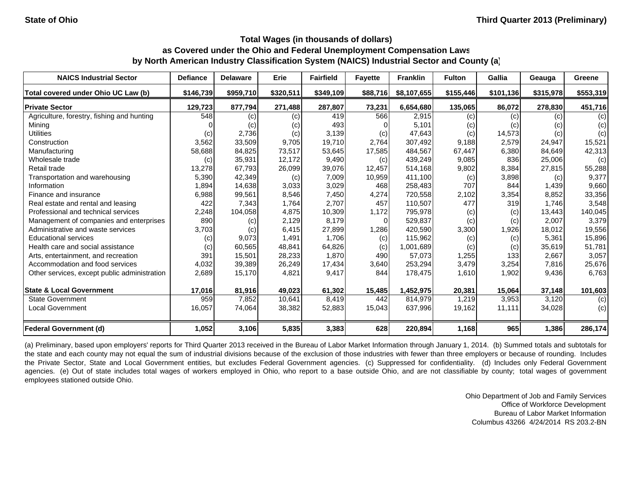| <b>NAICS Industrial Sector</b>               | <b>Defiance</b> | <b>Delaware</b> | Erie      | <b>Fairfield</b> | <b>Fayette</b> | <b>Franklin</b> | <b>Fulton</b> | Gallia    | Geauga    | Greene    |
|----------------------------------------------|-----------------|-----------------|-----------|------------------|----------------|-----------------|---------------|-----------|-----------|-----------|
| Total covered under Ohio UC Law (b)          | \$146,739       | \$959,710       | \$320,511 | \$349,109        | \$88,716       | \$8,107,655     | \$155,446     | \$101,136 | \$315,978 | \$553,319 |
| <b>Private Sector</b>                        | 129,723         | 877,794         | 271,488   | 287,807          | 73,231         | 6,654,680       | 135,065       | 86,072    | 278,830   | 451,716   |
| Agriculture, forestry, fishing and hunting   | 548             | (c)             | (c)       | 419              | 566            | 2,915           | (c)           | (c)       | (c)       | (c)       |
| Mining                                       |                 | (c)             | (c)       | 493              |                | 5,101           | (c)           | (c)       | (c)       | (c)       |
| <b>Utilities</b>                             | (c)             | 2,736           | (c)       | 3,139            | (c)            | 47,643          | (c)           | 14,573    | (c)       | (c)       |
| Construction                                 | 3,562           | 33,509          | 9,705     | 19,710           | 2,764          | 307,492         | 9,188         | 2,579     | 24,947    | 15,521    |
| Manufacturing                                | 58,688          | 84,825          | 73,517    | 53,645           | 17,585         | 484,567         | 67,447        | 6,380     | 84,649    | 42,313    |
| Wholesale trade                              | (c)             | 35,931          | 12,172    | 9,490            | (c)            | 439,249         | 9,085         | 836       | 25,006    | (c)       |
| Retail trade                                 | 13,278          | 67,793          | 26,099    | 39,076           | 12,457         | 514,168         | 9,802         | 8,384     | 27,815    | 55,288    |
| Transportation and warehousing               | 5,390           | 42,349          | (c)       | 7,009            | 10,959         | 411,100         | (c)           | 3,898     | (c)       | 9,377     |
| Information                                  | 1,894           | 14,638          | 3,033     | 3,029            | 468            | 258,483         | 707           | 844       | 1,439     | 9,660     |
| Finance and insurance                        | 6,988           | 99,561          | 8,546     | 7,450            | 4,274          | 720,558         | 2,102         | 3,354     | 8,852     | 33,356    |
| Real estate and rental and leasing           | 422             | 7,343           | 1,764     | 2,707            | 457            | 110,507         | 477           | 319       | 1,746     | 3,548     |
| Professional and technical services          | 2,248           | 104,058         | 4,875     | 10,309           | 1,172          | 795,978         | (c)           | (c)       | 13,443    | 140,045   |
| Management of companies and enterprises      | 890             | (c)             | 2,129     | 8,179            | $\Omega$       | 529,837         | (c)           | (c)       | 2,007     | 3,379     |
| Administrative and waste services            | 3,703           | (c)             | 6,415     | 27,899           | 1,286          | 420,590         | 3,300         | 1,926     | 18,012    | 19,556    |
| <b>Educational services</b>                  | (c)             | 9,073           | 1,491     | 1,706            | (c)            | 115,962         | (c)           | (c)       | 5,361     | 15,896    |
| Health care and social assistance            | (c)             | 60,565          | 48,841    | 64,826           | (c)            | 1,001,689       | (c)           | (c)       | 35,619    | 51,781    |
| Arts, entertainment, and recreation          | 391             | 15,501          | 28,233    | 1,870            | 490            | 57,073          | 1,255         | 133       | 2,667     | 3,057     |
| Accommodation and food services              | 4,032           | 39,389          | 26,249    | 17,434           | 3,640          | 253,294         | 3,479         | 3,254     | 7,816     | 25,676    |
| Other services, except public administration | 2,689           | 15,170          | 4,821     | 9,417            | 844            | 178,475         | 1,610         | 1,902     | 9,436     | 6,763     |
| <b>State &amp; Local Government</b>          | 17,016          | 81,916          | 49,023    | 61,302           | 15,485         | 1,452,975       | 20,381        | 15,064    | 37,148    | 101,603   |
| <b>State Government</b>                      | 959             | 7,852           | 10,641    | 8,419            | 442            | 814,979         | 1,219         | 3,953     | 3,120     | (c)       |
| <b>Local Government</b>                      | 16,057          | 74,064          | 38,382    | 52,883           | 15,043         | 637,996         | 19,162        | 11,111    | 34,028    | (c)       |
| <b>Federal Government (d)</b>                | 1,052           | 3,106           | 5,835     | 3,383            | 628            | 220,894         | 1,168         | 965       | 1,386     | 286,174   |

(a) Preliminary, based upon employers' reports for Third Quarter 2013 received in the Bureau of Labor Market Information through January 1, 2014. (b) Summed totals and subtotals for the state and each county may not equal the sum of industrial divisions because of the exclusion of those industries with fewer than three employers or because of rounding. Includes the Private Sector, State and Local Government entities, but excludes Federal Government agencies. (c) Suppressed for confidentiality. (d) Includes only Federal Government agencies. (e) Out of state includes total wages of workers employed in Ohio, who report to a base outside Ohio, and are not classifiable by county; total wages of government employees stationed outside Ohio.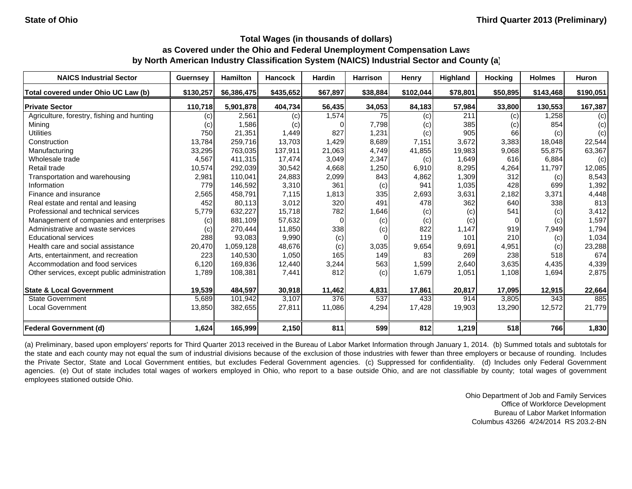| <b>NAICS Industrial Sector</b>               | <b>Guernsey</b>   | <b>Hamilton</b> | Hancock   | <b>Hardin</b> | <b>Harrison</b> | Henry     | <b>Highland</b> | <b>Hocking</b> | <b>Holmes</b> | Huron     |
|----------------------------------------------|-------------------|-----------------|-----------|---------------|-----------------|-----------|-----------------|----------------|---------------|-----------|
| Total covered under Ohio UC Law (b)          | \$130,257         | \$6,386,475     | \$435,652 | \$67,897      | \$38,884        | \$102,044 | \$78,801        | \$50,895       | \$143,468     | \$190,051 |
| <b>Private Sector</b>                        | 110,718           | 5,901,878       | 404,734   | 56,435        | 34,053          | 84,183    | 57,984          | 33,800         | 130,553       | 167,387   |
| Agriculture, forestry, fishing and hunting   | (c)               | 2,561           | (c)       | 1,574         | 75              | (c)       | 211             | (c)            | 1,258         | (c)       |
| Mining                                       | $\left( c\right)$ | 1,586           | (c)       |               | 7,798           | (c)       | 385             | (c)            | 854           | (c)       |
| <b>Utilities</b>                             | 750               | 21,351          | 1,449     | 827           | 1,231           | (c)       | 905             | 66             | (c)           | (c)       |
| Construction                                 | 13,784            | 259,716         | 13,703    | 1,429         | 8,689           | 7,151     | 3,672           | 3,383          | 18,048        | 22,544    |
| Manufacturing                                | 33,295            | 763,035         | 137,911   | 21,063        | 4.749           | 41,855    | 19,983          | 9,068          | 55,875        | 63,367    |
| Wholesale trade                              | 4,567             | 411,315         | 17,474    | 3,049         | 2,347           | (c)       | 1,649           | 616            | 6,884         | (c)       |
| Retail trade                                 | 10,574            | 292,039         | 30,542    | 4,668         | 1,250           | 6,910     | 8,295           | 4,264          | 11,797        | 12,085    |
| Transportation and warehousing               | 2,981             | 110,041         | 24,883    | 2,099         | 843             | 4,862     | 1,309           | 312            | (c)           | 8,543     |
| Information                                  | 779               | 146,592         | 3,310     | 361           | (c)             | 941       | 1,035           | 428            | 699           | 1,392     |
| Finance and insurance                        | 2,565             | 458,791         | 7,115     | 1,813         | 335             | 2,693     | 3,631           | 2,182          | 3,371         | 4,448     |
| Real estate and rental and leasing           | 452               | 80,113          | 3,012     | 320           | 491             | 478       | 362             | 640            | 338           | 813       |
| Professional and technical services          | 5,779             | 632,227         | 15,718    | 782           | 1,646           | (c)       | (c)             | 541            | (c)           | 3,412     |
| Management of companies and enterprises      | (c)               | 881,109         | 57,632    | $\Omega$      | (c)             | (c)       | (c)             | $\Omega$       | (c)           | 1,597     |
| Administrative and waste services            | (c)               | 270,444         | 11,850    | 338           | (c)             | 822       | 1.147           | 919            | 7,949         | 1,794     |
| <b>Educational services</b>                  | 288               | 93,083          | 9,990     | (c)           |                 | 119       | 101             | 210            | (c)           | 1,034     |
| Health care and social assistance            | 20,470            | 1,059,128       | 48,676    | (c)           | 3,035           | 9,654     | 9,691           | 4,951          | (c)           | 23,288    |
| Arts, entertainment, and recreation          | 223               | 140,530         | 1,050     | 165           | 149             | 83        | 269             | 238            | 518           | 674       |
| Accommodation and food services              | 6,120             | 169,836         | 12,440    | 3,244         | 563             | 1,599     | 2,640           | 3,635          | 4,435         | 4,339     |
| Other services, except public administration | 1,789             | 108,381         | 7,441     | 812           | (c)             | 1,679     | 1,051           | 1,108          | 1,694         | 2,875     |
| <b>State &amp; Local Government</b>          | 19.539            | 484,597         | 30,918    | 11,462        | 4,831           | 17,861    | 20,817          | 17,095         | 12,915        | 22,664    |
| <b>State Government</b>                      | 5,689             | 101,942         | 3,107     | 376           | 537             | 433       | 914             | 3,805          | 343           | 885       |
| <b>Local Government</b>                      | 13,850            | 382,655         | 27,811    | 11,086        | 4,294           | 17,428    | 19,903          | 13,290         | 12,572        | 21,779    |
| Federal Government (d)                       | 1,624             | 165,999         | 2,150     | 811           | 599             | 812       | 1,219           | 518            | 766           | 1,830     |

(a) Preliminary, based upon employers' reports for Third Quarter 2013 received in the Bureau of Labor Market Information through January 1, 2014. (b) Summed totals and subtotals for the state and each county may not equal the sum of industrial divisions because of the exclusion of those industries with fewer than three employers or because of rounding. Includes the Private Sector, State and Local Government entities, but excludes Federal Government agencies. (c) Suppressed for confidentiality. (d) Includes only Federal Government agencies. (e) Out of state includes total wages of workers employed in Ohio, who report to a base outside Ohio, and are not classifiable by county; total wages of government employees stationed outside Ohio.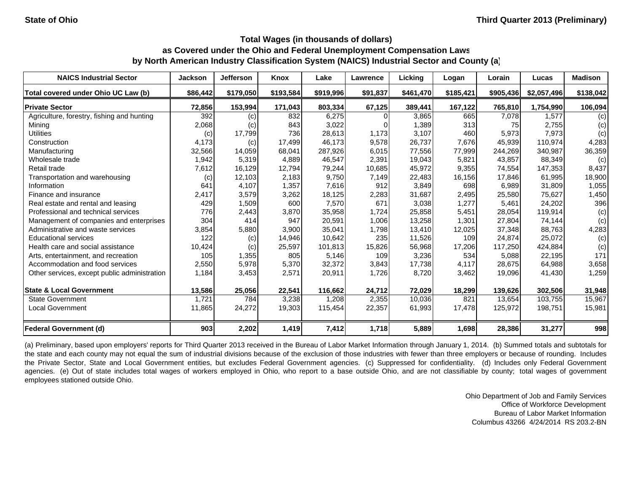| <b>NAICS Industrial Sector</b>               | Jackson  | <b>Jefferson</b> | Knox      | Lake      | <b>Lawrence</b> | Licking   | Logan     | Lorain    | Lucas       | <b>Madison</b> |
|----------------------------------------------|----------|------------------|-----------|-----------|-----------------|-----------|-----------|-----------|-------------|----------------|
| Total covered under Ohio UC Law (b)          | \$86,442 | \$179,050        | \$193,584 | \$919,996 | \$91,837        | \$461,470 | \$185,421 | \$905,436 | \$2,057,496 | \$138,042      |
| <b>Private Sector</b>                        | 72,856   | 153,994          | 171,043   | 803,334   | 67,125          | 389,441   | 167,122   | 765,810   | 1,754,990   | 106,094        |
| Agriculture, forestry, fishing and hunting   | 392      | (c)              | 832       | 6,275     |                 | 3,865     | 665       | 7,078     | 1.577       | (c)            |
| Mining                                       | 2,068    | (c)              | 843       | 3,022     |                 | 1,389     | 313       | 75        | 2,755       | (c)            |
| <b>Utilities</b>                             | (c)      | 17,799           | 736       | 28,613    | 1.173           | 3,107     | 460       | 5,973     | 7,973       | (c)            |
| Construction                                 | 4,173    | (c)              | 17,499    | 46,173    | 9,578           | 26,737    | 7,676     | 45,939    | 110.974     | 4,283          |
| Manufacturing                                | 32,566   | 14,059           | 68,041    | 287,926   | 6,015           | 77,556    | 77,999    | 244,269   | 340,987     | 36,359         |
| Wholesale trade                              | 1,942    | 5,319            | 4,889     | 46,547    | 2,391           | 19,043    | 5,821     | 43,857    | 88,349      | (c)            |
| Retail trade                                 | 7,612    | 16,129           | 12,794    | 79,244    | 10,685          | 45,972    | 9,355     | 74,554    | 147,353     | 8,437          |
| Transportation and warehousing               | (c)      | 12,103           | 2,183     | 9,750     | 7,149           | 22,483    | 16,156    | 17,846    | 61,995      | 18,900         |
| Information                                  | 641      | 4,107            | 1,357     | 7,616     | 912             | 3,849     | 698       | 6,989     | 31,809      | 1,055          |
| Finance and insurance                        | 2,417    | 3,579            | 3,262     | 18,125    | 2,283           | 31,687    | 2,495     | 25,580    | 75,627      | 1,450          |
| Real estate and rental and leasing           | 429      | 1,509            | 600       | 7,570     | 671             | 3,038     | 1,277     | 5,461     | 24,202      | 396            |
| Professional and technical services          | 776      | 2,443            | 3,870     | 35,958    | 1,724           | 25,858    | 5,451     | 28,054    | 119,914     | (c)            |
| Management of companies and enterprises      | 304      | 414              | 947       | 20,591    | 1,006           | 13,258    | 1,301     | 27,804    | 74,144      | (c)            |
| Administrative and waste services            | 3,854    | 5,880            | 3,900     | 35,041    | 1,798           | 13,410    | 12,025    | 37,348    | 88,763      | 4,283          |
| <b>Educational services</b>                  | 122      | (c)              | 14,946    | 10,642    | 235             | 11,526    | 109       | 24,874    | 25,072      | (c)            |
| Health care and social assistance            | 10,424   | (c)              | 25,597    | 101,813   | 15,826          | 56,968    | 17,206    | 117,250   | 424,884     | (c)            |
| Arts, entertainment, and recreation          | 105      | 1,355            | 805       | 5,146     | 109             | 3,236     | 534       | 5,088     | 22,195      | 171            |
| Accommodation and food services              | 2,550    | 5,978            | 5,370     | 32,372    | 3,843           | 17,738    | 4,117     | 28,675    | 64,988      | 3,658          |
| Other services, except public administration | 1,184    | 3,453            | 2,571     | 20,911    | 1,726           | 8,720     | 3,462     | 19,096    | 41,430      | 1,259          |
| <b>State &amp; Local Government</b>          | 13,586   | 25,056           | 22,541    | 116,662   | 24,712          | 72,029    | 18,299    | 139,626   | 302,506     | 31,948         |
| <b>State Government</b>                      | 1,721    | 784              | 3,238     | 1,208     | 2,355           | 10,036    | 821       | 13,654    | 103,755     | 15,967         |
| <b>Local Government</b>                      | 11,865   | 24,272           | 19,303    | 115,454   | 22,357          | 61,993    | 17,478    | 125,972   | 198,751     | 15,981         |
| Federal Government (d)                       | 903      | 2,202            | 1,419     | 7,412     | 1,718           | 5,889     | 1,698     | 28,386    | 31,277      | 998            |

(a) Preliminary, based upon employers' reports for Third Quarter 2013 received in the Bureau of Labor Market Information through January 1, 2014. (b) Summed totals and subtotals for the state and each county may not equal the sum of industrial divisions because of the exclusion of those industries with fewer than three employers or because of rounding. Includes the Private Sector, State and Local Government entities, but excludes Federal Government agencies. (c) Suppressed for confidentiality. (d) Includes only Federal Government agencies. (e) Out of state includes total wages of workers employed in Ohio, who report to a base outside Ohio, and are not classifiable by county; total wages of government employees stationed outside Ohio.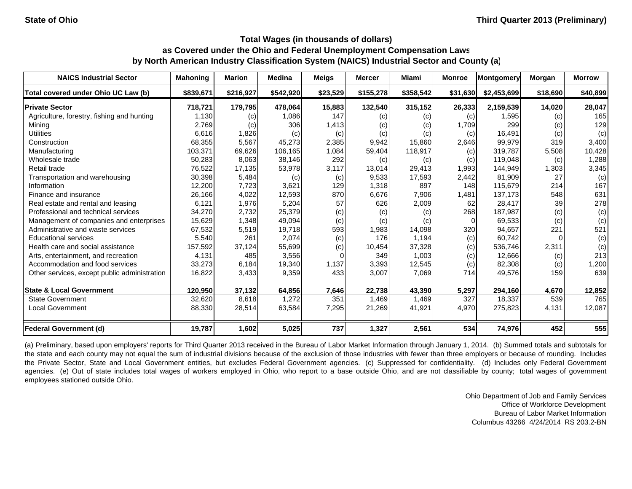| <b>NAICS Industrial Sector</b>               | <b>Mahoning</b> | <b>Marion</b> | <b>Medina</b> | <b>Meigs</b> | <b>Mercer</b> | <b>Miami</b>               | <b>Monroe</b> | Montgomery  | <b>Morgan</b> | <b>Morrow</b> |
|----------------------------------------------|-----------------|---------------|---------------|--------------|---------------|----------------------------|---------------|-------------|---------------|---------------|
| Total covered under Ohio UC Law (b)          | \$839,671       | \$216,927     | \$542,920     | \$23,529     | \$155,278     | \$358,542                  | \$31,630      | \$2,453,699 | \$18,690      | \$40,899      |
| <b>Private Sector</b>                        | 718,721         | 179,795       | 478,064       | 15,883       | 132,540       | 315,152                    | 26,333        | 2,159,539   | 14,020        | 28,047        |
| Agriculture, forestry, fishing and hunting   | 1,130           | (c)           | 1,086         | 147          | (c)           | (c)                        | (c)           | 1,595       | (c)           | 165           |
| Mining                                       | 2,769           | (c)           | 306           | 1,413        | (c)           | $\left( \mathrm{c}\right)$ | 1,709         | 299         | (c)           | 129           |
| <b>Utilities</b>                             | 6,616           | 1,826         | (c)           | (c)          | (c)           | (c)                        | (c)           | 16,491      | (c)           | (c)           |
| Construction                                 | 68,355          | 5,567         | 45.273        | 2,385        | 9,942         | 15,860                     | 2,646         | 99,979      | 319           | 3,400         |
| Manufacturing                                | 103,371         | 69,626        | 106,165       | 1,084        | 59,404        | 118,917                    | (c)           | 319,787     | 5,508         | 10,428        |
| Wholesale trade                              | 50,283          | 8,063         | 38,146        | 292          | (c)           | (c)                        | (c)           | 119,048     | (c)           | 1,288         |
| Retail trade                                 | 76,522          | 17,135        | 53,978        | 3,117        | 13,014        | 29,413                     | 1,993         | 144,949     | 1,303         | 3,345         |
| Transportation and warehousing               | 30,398          | 5,484         | (c)           | (c)          | 9,533         | 17,593                     | 2,442         | 81,909      | 27            | (c)           |
| Information                                  | 12,200          | 7,723         | 3,621         | 129          | 1,318         | 897                        | 148           | 115,679     | 214           | 167           |
| Finance and insurance                        | 26,166          | 4,022         | 12,593        | 870          | 6,676         | 7,906                      | 1,481         | 137,173     | 548           | 631           |
| Real estate and rental and leasing           | 6,121           | 1,976         | 5,204         | 57           | 626           | 2,009                      | 62            | 28,417      | 39            | 278           |
| Professional and technical services          | 34,270          | 2,732         | 25,379        | (c)          | (c)           | (c)                        | 268           | 187,987     | (c)           | (c)           |
| Management of companies and enterprises      | 15,629          | 1,348         | 49,094        | (c)          | (c)           | (c)                        |               | 69,533      | (c)           | (c)           |
| Administrative and waste services            | 67,532          | 5,519         | 19,718        | 593          | 1,983         | 14,098                     | 320           | 94,657      | 221           | 521           |
| <b>Educational services</b>                  | 5,540           | 261           | 2,074         | (c)          | 176           | 1,194                      | (c)           | 60,742      |               | (c)           |
| Health care and social assistance            | 157,592         | 37,124        | 55,699        | (c)          | 10,454        | 37,328                     | (c)           | 536,746     | 2,311         | (c)           |
| Arts, entertainment, and recreation          | 4,131           | 485           | 3,556         |              | 349           | 1,003                      | (c)           | 12,666      | (c)           | 213           |
| Accommodation and food services              | 33,273          | 6,184         | 19,340        | 1,137        | 3,393         | 12,545                     | (c)           | 82,308      | (c)           | 1,200         |
| Other services, except public administration | 16,822          | 3,433         | 9,359         | 433          | 3,007         | 7,069                      | 714           | 49,576      | 159           | 639           |
| <b>State &amp; Local Government</b>          | 120,950         | 37,132        | 64,856        | 7,646        | 22,738        | 43,390                     | 5,297         | 294,160     | 4,670         | 12,852        |
| <b>State Government</b>                      | 32,620          | 8,618         | 1,272         | 351          | 1,469         | 1,469                      | 327           | 18,337      | 539           | 765           |
| Local Government                             | 88,330          | 28,514        | 63,584        | 7,295        | 21,269        | 41,921                     | 4,970         | 275,823     | 4,131         | 12,087        |
| <b>Federal Government (d)</b>                | 19,787          | 1,602         | 5,025         | 737          | 1,327         | 2,561                      | 534           | 74,976      | 452           | 555           |

(a) Preliminary, based upon employers' reports for Third Quarter 2013 received in the Bureau of Labor Market Information through January 1, 2014. (b) Summed totals and subtotals for the state and each county may not equal the sum of industrial divisions because of the exclusion of those industries with fewer than three employers or because of rounding. Includes the Private Sector, State and Local Government entities, but excludes Federal Government agencies. (c) Suppressed for confidentiality. (d) Includes only Federal Government agencies. (e) Out of state includes total wages of workers employed in Ohio, who report to a base outside Ohio, and are not classifiable by county; total wages of government employees stationed outside Ohio.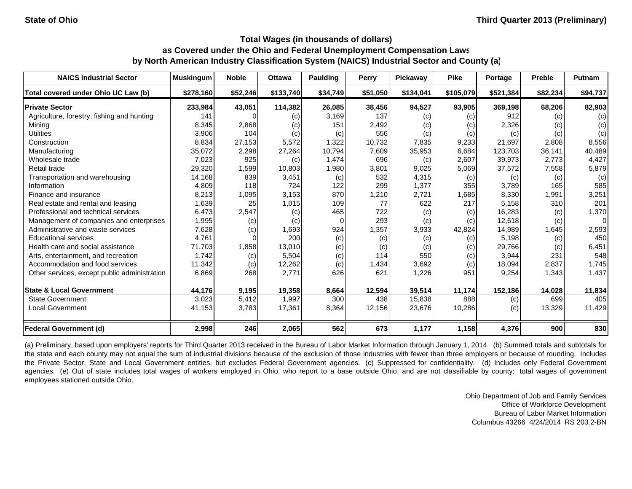| <b>NAICS Industrial Sector</b>               | <b>Muskingum</b> | <b>Noble</b> | <b>Ottawa</b> | Paulding | Perry    | Pickaway  | <b>Pike</b> | Portage   | <b>Preble</b> | <b>Putnam</b> |
|----------------------------------------------|------------------|--------------|---------------|----------|----------|-----------|-------------|-----------|---------------|---------------|
| Total covered under Ohio UC Law (b)          | \$278,160        | \$52,246     | \$133,740     | \$34,749 | \$51,050 | \$134,041 | \$105,079   | \$521,384 | \$82,234      | \$94,737      |
| <b>Private Sector</b>                        | 233,984          | 43,051       | 114,382       | 26,085   | 38,456   | 94,527    | 93,905      | 369,198   | 68,206        | 82,903        |
| Agriculture, forestry, fishing and hunting   | 141              |              | (c)           | 3,169    | 137      | (c)       | (c)         | 912       | (c)           | (c)           |
| Mining                                       | 8,345            | 2,868        | (c)           | 151      | 2,492    | (c)       | (c)         | 2,326     | (c)           | (c)           |
| <b>Utilities</b>                             | 3,906            | 104          | (c)           | (c)      | 556      | (c)       | (c)         | (c)       | (c)           | (c)           |
| Construction                                 | 8,834            | 27,153       | 5,572         | 1,322    | 10,732   | 7,835     | 9,233       | 21,697    | 2,808         | 8,556         |
| Manufacturing                                | 35,072           | 2,298        | 27,264        | 10,794   | 7,609    | 35,953    | 6,684       | 123,703   | 36,141        | 40,489        |
| Wholesale trade                              | 7,023            | 925          | (c)           | 1,474    | 696      | (c)       | 2,607       | 39,973    | 2,773         | 4,427         |
| Retail trade                                 | 29,320           | 1,599        | 10,803        | 1,980    | 3,801    | 9,025     | 5,069       | 37,572    | 7,558         | 5,879         |
| Transportation and warehousing               | 14,168           | 839          | 3,451         | (c)      | 532      | 4,315     | (c)         | (c)       | (c)           | (c)           |
| Information                                  | 4,809            | 118          | 724           | 122      | 299      | 1,377     | 355         | 3,789     | 165           | 585           |
| Finance and insurance                        | 8,213            | 1,095        | 3,153         | 870      | 1,210    | 2,721     | 1,685       | 8,330     | 1,991         | 3,251         |
| Real estate and rental and leasing           | 1,639            | 25           | 1,015         | 109      | 77       | 622       | 217         | 5,158     | 310           | 201           |
| Professional and technical services          | 6,473            | 2,547        | (c)           | 465      | 722      | (c)       | (c)         | 16,283    | (c)           | 1,370         |
| Management of companies and enterprises      | 1,995            | (c)          | (c)           | $\Omega$ | 293      | (c)       | (c)         | 12,618    | (c)           | 0             |
| Administrative and waste services            | 7,628            | (c)          | 1,693         | 924      | 1,357    | 3,933     | 42,824      | 14,989    | 1,645         | 2,593         |
| <b>Educational services</b>                  | 4,761            |              | 200           | (c)      | (c)      | (c)       | (c)         | 5,198     | (c)           | 450           |
| Health care and social assistance            | 71,703           | 1,858        | 13,010        | (c)      | (c)      | (c)       | (c)         | 29,766    | (c)           | 6,451         |
| Arts, entertainment, and recreation          | 1,742            | (c)          | 5,504         | (c)      | 114      | 550       | (c)         | 3,944     | 231           | 548           |
| Accommodation and food services              | 11,342           | (c)          | 12,262        | (c)      | 1,434    | 3,692     | (c)         | 18,094    | 2,837         | 1,745         |
| Other services, except public administration | 6,869            | 268          | 2,771         | 626      | 621      | 1,226     | 951         | 9,254     | 1,343         | 1,437         |
| <b>State &amp; Local Government</b>          | 44,176           | 9,195        | 19,358        | 8,664    | 12,594   | 39,514    | 11,174      | 152,186   | 14,028        | 11,834        |
| <b>State Government</b>                      | 3,023            | 5,412        | 1,997         | 300      | 438      | 15,838    | 888         | (c)       | 699           | 405           |
| <b>Local Government</b>                      | 41,153           | 3,783        | 17,361        | 8,364    | 12,156   | 23,676    | 10,286      | (c)       | 13,329        | 11,429        |
| <b>Federal Government (d)</b>                | 2,998            | 246          | 2,065         | 562      | 673      | 1,177     | 1,158       | 4,376     | 900           | 830           |

(a) Preliminary, based upon employers' reports for Third Quarter 2013 received in the Bureau of Labor Market Information through January 1, 2014. (b) Summed totals and subtotals for the state and each county may not equal the sum of industrial divisions because of the exclusion of those industries with fewer than three employers or because of rounding. Includes the Private Sector, State and Local Government entities, but excludes Federal Government agencies. (c) Suppressed for confidentiality. (d) Includes only Federal Government agencies. (e) Out of state includes total wages of workers employed in Ohio, who report to a base outside Ohio, and are not classifiable by county; total wages of government employees stationed outside Ohio.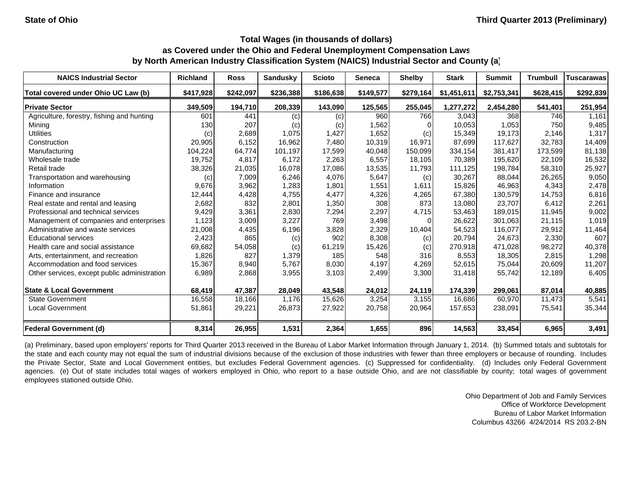| <b>NAICS Industrial Sector</b>               | <b>Richland</b> | <b>Ross</b> | <b>Sandusky</b> | <b>Scioto</b> | Seneca    | <b>Shelby</b> | <b>Stark</b> | <b>Summit</b> | <b>Trumbull</b> | <b>Tuscarawas</b> |
|----------------------------------------------|-----------------|-------------|-----------------|---------------|-----------|---------------|--------------|---------------|-----------------|-------------------|
| Total covered under Ohio UC Law (b)          | \$417,928       | \$242,097   | \$236,388       | \$186,638     | \$149,577 | \$279,164     | \$1,451,611  | \$2,753,341   | \$628,415       | \$292,839         |
| <b>Private Sector</b>                        | 349,509         | 194,710     | 208,339         | 143,090       | 125,565   | 255,045       | 1,277,272    | 2,454,280     | 541,401         | 251,954           |
| Agriculture, forestry, fishing and hunting   | 601             | 441         | (c)             | (c)           | 960       | 766           | 3,043        | 368           | 746             | 1,161             |
| Mining                                       | 130             | 207         | (c)             | (c)           | 1,562     |               | 10,053       | 1,053         | 750             | 9,485             |
| <b>Utilities</b>                             | (c)             | 2,689       | 1,075           | 1,427         | 1,652     | (c)           | 15,349       | 19,173        | 2,146           | 1,317             |
| Construction                                 | 20,905          | 6,152       | 16,962          | 7,480         | 10,319    | 16,971        | 87,699       | 117.627       | 32,783          | 14,409            |
| Manufacturing                                | 104,224         | 64,774      | 101,197         | 17,599        | 40,048    | 150,099       | 334,154      | 381,417       | 173,599         | 81,138            |
| Wholesale trade                              | 19,752          | 4,817       | 6,172           | 2,263         | 6,557     | 18,105        | 70,389       | 195,620       | 22,109          | 16,532            |
| Retail trade                                 | 38,326          | 21,035      | 16,078          | 17,086        | 13,535    | 11,793        | 111,125      | 198,784       | 58,310          | 25,927            |
| Transportation and warehousing               | (c)             | 7,009       | 6,246           | 4,076         | 5,647     | (c)           | 30,267       | 88,044        | 26,265          | 9,050             |
| Information                                  | 9,676           | 3,962       | 1,283           | 1,801         | 1,551     | 1,611         | 15,826       | 46,963        | 4,343           | 2,478             |
| Finance and insurance                        | 12,444          | 4,428       | 4,755           | 4,477         | 4,326     | 4,265         | 67,380       | 130,579       | 14,753          | 6,816             |
| Real estate and rental and leasing           | 2,682           | 832         | 2,801           | 1,350         | 308       | 873           | 13,080       | 23.707        | 6,412           | 2,261             |
| Professional and technical services          | 9,429           | 3,361       | 2,830           | 7,294         | 2,297     | 4,715         | 53,463       | 189,015       | 11,945          | 9,002             |
| Management of companies and enterprises      | 1,123           | 3,009       | 3,227           | 769           | 3,498     |               | 26,622       | 301.063       | 21.115          | 1,019             |
| Administrative and waste services            | 21,008          | 4,435       | 6,196           | 3,828         | 2,329     | 10,404        | 54,523       | 116,077       | 29,912          | 11,464            |
| <b>Educational services</b>                  | 2,423           | 865         | (c)             | 902           | 8,308     | (c)           | 20,794       | 24,673        | 2,330           | 607               |
| Health care and social assistance            | 69,682          | 54,058      | (c)             | 61,219        | 15,426    | (c)           | 270,918      | 471,028       | 98,272          | 40,378            |
| Arts, entertainment, and recreation          | 1,826           | 827         | 1,379           | 185           | 548       | 316           | 8,553        | 18,305        | 2,815           | 1,298             |
| Accommodation and food services              | 15,367          | 8,940       | 5,767           | 8,030         | 4,197     | 4,269         | 52,615       | 75,044        | 20,609          | 11,207            |
| Other services, except public administration | 6,989           | 2,868       | 3,955           | 3,103         | 2,499     | 3,300         | 31,418       | 55,742        | 12,189          | 6,405             |
| <b>State &amp; Local Government</b>          | 68,419          | 47,387      | 28,049          | 43,548        | 24,012    | 24,119        | 174,339      | 299,061       | 87,014          | 40,885            |
| <b>State Government</b>                      | 16,558          | 18,166      | 1,176           | 15,626        | 3,254     | 3,155         | 16,686       | 60,970        | 11,473          | 5,541             |
| <b>Local Government</b>                      | 51,861          | 29,221      | 26,873          | 27,922        | 20,758    | 20,964        | 157,653      | 238,091       | 75,541          | 35,344            |
| <b>Federal Government (d)</b>                | 8,314           | 26,955      | 1,531           | 2,364         | 1,655     | 896           | 14,563       | 33,454        | 6,965           | 3,491             |

(a) Preliminary, based upon employers' reports for Third Quarter 2013 received in the Bureau of Labor Market Information through January 1, 2014. (b) Summed totals and subtotals for the state and each county may not equal the sum of industrial divisions because of the exclusion of those industries with fewer than three employers or because of rounding. Includes the Private Sector, State and Local Government entities, but excludes Federal Government agencies. (c) Suppressed for confidentiality. (d) Includes only Federal Government agencies. (e) Out of state includes total wages of workers employed in Ohio, who report to a base outside Ohio, and are not classifiable by county; total wages of government employees stationed outside Ohio.